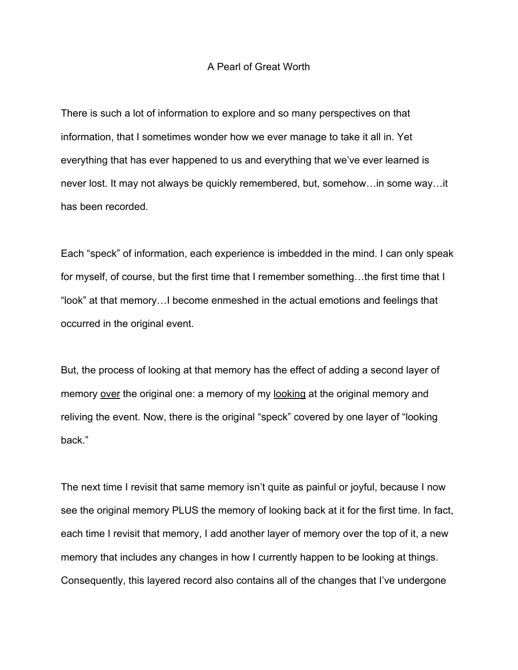## A Pearl of Great Worth

There is such a lot of information to explore and so many perspectives on that information, that I sometimes wonder how we ever manage to take it all in. Yet everything that has ever happened to us and everything that we've ever learned is never lost. It may not always be quickly remembered, but, somehow…in some way…it has been recorded.

Each "speck" of information, each experience is imbedded in the mind. I can only speak for myself, of course, but the first time that I remember something…the first time that I "look" at that memory…I become enmeshed in the actual emotions and feelings that occurred in the original event.

But, the process of looking at that memory has the effect of adding a second layer of memory over the original one: a memory of my looking at the original memory and reliving the event. Now, there is the original "speck" covered by one layer of "looking back."

The next time I revisit that same memory isn't quite as painful or joyful, because I now see the original memory PLUS the memory of looking back at it for the first time. In fact, each time I revisit that memory, I add another layer of memory over the top of it, a new memory that includes any changes in how I currently happen to be looking at things. Consequently, this layered record also contains all of the changes that I've undergone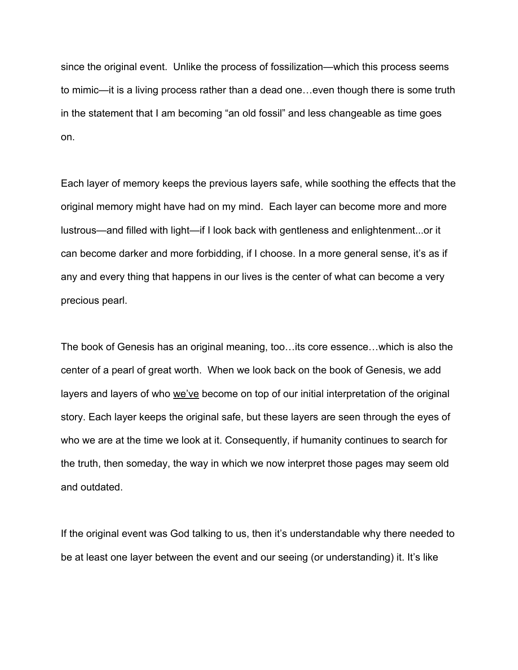since the original event. Unlike the process of fossilization—which this process seems to mimic—it is a living process rather than a dead one…even though there is some truth in the statement that I am becoming "an old fossil" and less changeable as time goes on.

Each layer of memory keeps the previous layers safe, while soothing the effects that the original memory might have had on my mind. Each layer can become more and more lustrous—and filled with light—if I look back with gentleness and enlightenment...or it can become darker and more forbidding, if I choose. In a more general sense, it's as if any and every thing that happens in our lives is the center of what can become a very precious pearl.

The book of Genesis has an original meaning, too…its core essence…which is also the center of a pearl of great worth. When we look back on the book of Genesis, we add layers and layers of who we've become on top of our initial interpretation of the original story. Each layer keeps the original safe, but these layers are seen through the eyes of who we are at the time we look at it. Consequently, if humanity continues to search for the truth, then someday, the way in which we now interpret those pages may seem old and outdated.

If the original event was God talking to us, then it's understandable why there needed to be at least one layer between the event and our seeing (or understanding) it. It's like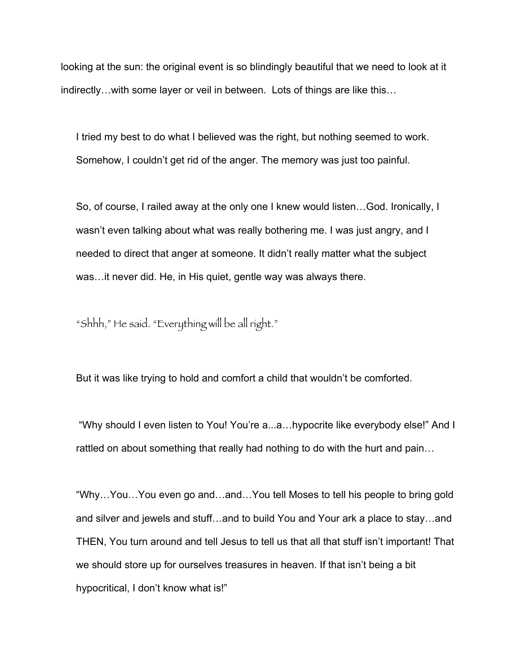looking at the sun: the original event is so blindingly beautiful that we need to look at it indirectly…with some layer or veil in between. Lots of things are like this…

I tried my best to do what I believed was the right, but nothing seemed to work. Somehow, I couldn't get rid of the anger. The memory was just too painful.

So, of course, I railed away at the only one I knew would listen…God. Ironically, I wasn't even talking about what was really bothering me. I was just angry, and I needed to direct that anger at someone. It didn't really matter what the subject was…it never did. He, in His quiet, gentle way was always there.

"Shhh," He said. "Everything will be all right."

But it was like trying to hold and comfort a child that wouldn't be comforted.

 "Why should I even listen to You! You're a...a…hypocrite like everybody else!" And I rattled on about something that really had nothing to do with the hurt and pain…

"Why…You…You even go and…and…You tell Moses to tell his people to bring gold and silver and jewels and stuff…and to build You and Your ark a place to stay…and THEN, You turn around and tell Jesus to tell us that all that stuff isn't important! That we should store up for ourselves treasures in heaven. If that isn't being a bit hypocritical, I don't know what is!"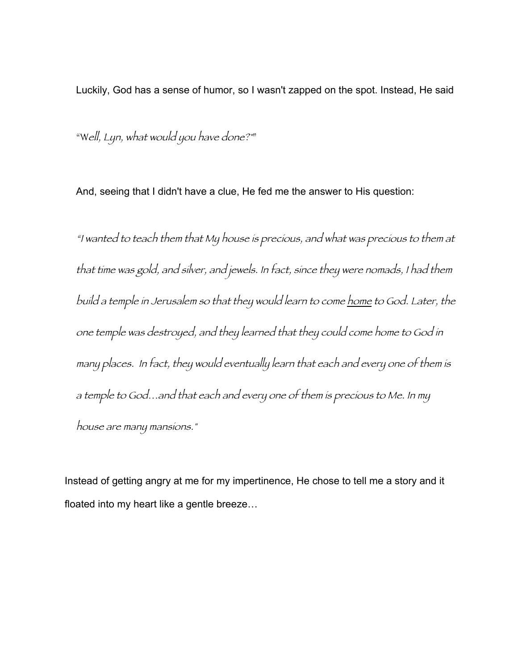Luckily, God has a sense of humor, so I wasn't zapped on the spot. Instead, He said

"Well, Lyn, what would you have done?""

And, seeing that I didn't have a clue, He fed me the answer to His question:

"I wanted to teach them that My house is precious, and what was precious to them at that time was gold, and silver, and jewels. In fact, since they were nomads, I had them build a temple in Jerusalem so that they would learn to come home to God. Later, the one temple was destroyed, and they learned that they could come home to God in many places. In fact, they would eventually learn that each and every one of them is a temple to God…and that each and every one of them is precious to Me. In my house are many mansions."

Instead of getting angry at me for my impertinence, He chose to tell me a story and it floated into my heart like a gentle breeze…